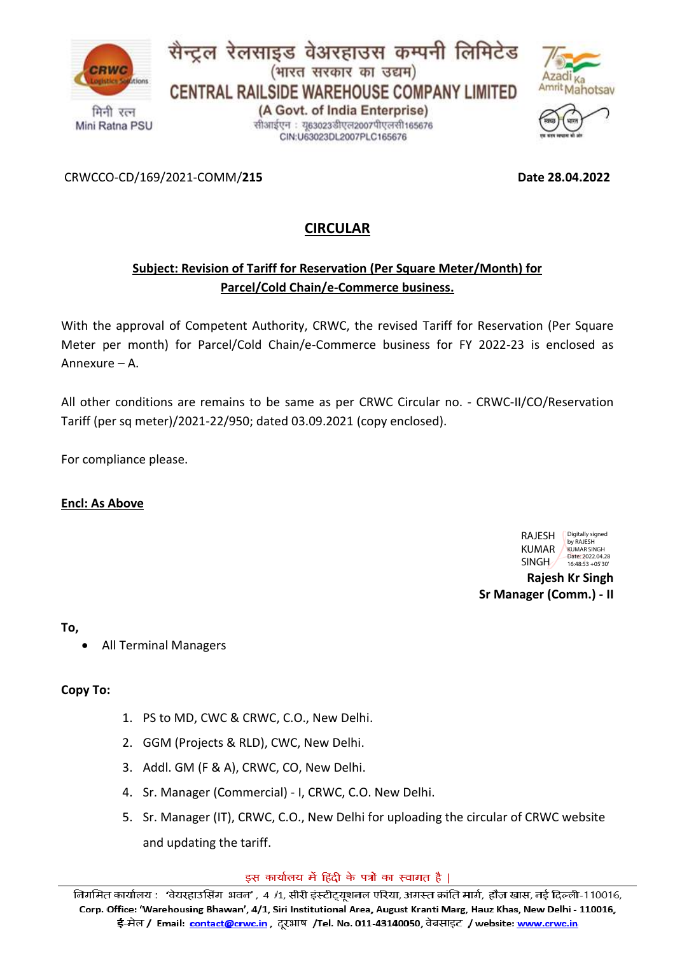





CRWCCO-CD/169/2021-COMM/**215 Date 28.04.2022**

## **CIRCULAR**

## **Subject: Revision of Tariff for Reservation (Per Square Meter/Month) for Parcel/Cold Chain/e-Commerce business.**

With the approval of Competent Authority, CRWC, the revised Tariff for Reservation (Per Square Meter per month) for Parcel/Cold Chain/e-Commerce business for FY 2022-23 is enclosed as Annexure – A.

All other conditions are remains to be same as per CRWC Circular no. - CRWC-II/CO/Reservation Tariff (per sq meter)/2021-22/950; dated 03.09.2021 (copy enclosed).

For compliance please.

#### **Encl: As Above**



**Rajesh Kr Singh Sr Manager (Comm.) - II**

**To,**

• All Terminal Managers

**Copy To:**

- 1. PS to MD, CWC & CRWC, C.O., New Delhi.
- 2. GGM (Projects & RLD), CWC, New Delhi.
- 3. Addl. GM (F & A), CRWC, CO, New Delhi.
- 4. Sr. Manager (Commercial) I, CRWC, C.O. New Delhi.
- 5. Sr. Manager (IT), CRWC, C.O., New Delhi for uploading the circular of CRWC website and updating the tariff.

इस कार्यालय में हिंदी के पत्रों का स्वागत है |

निगमित कार्यालय: 'वेयरहाउसिंग भवन', 4 /1, सीरी इंस्टीट्यूशनल एरिया, अगस्त क्रांति मार्ग, हौज़ खास, नई दिल्ली-110016, Corp. Office: 'Warehousing Bhawan', 4/1, Siri Institutional Area, August Kranti Marg, Hauz Khas, New Delhi - 110016, ई-मेल / Email: <u>contact@crwc.in</u> , दूरभाष /Tel. No. 011-43140050, वेबसाइट / website: <u>www.crwc.in</u>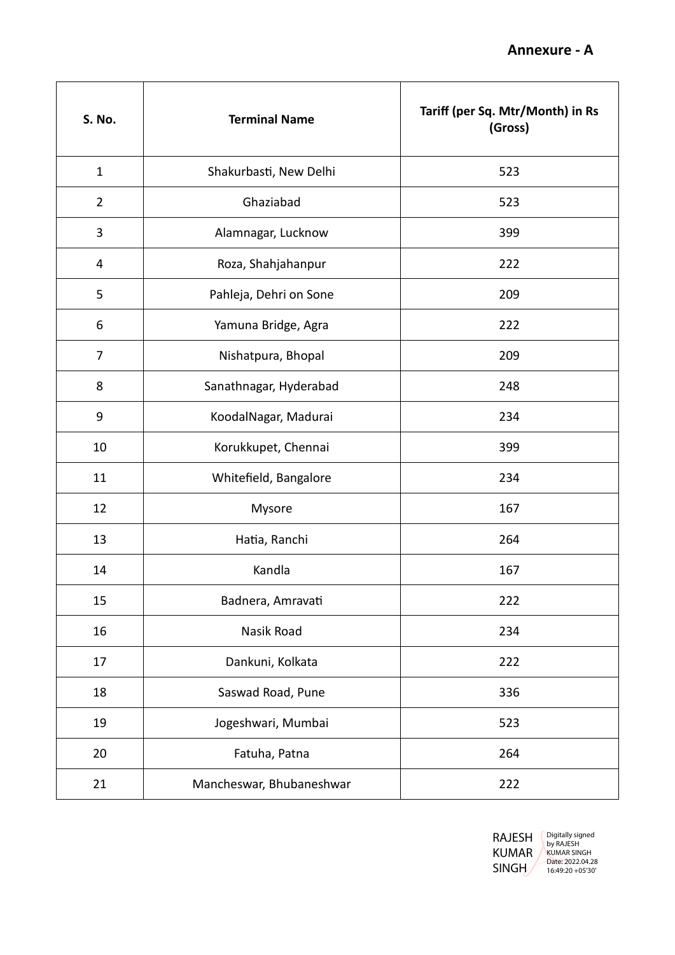| S. No.         | <b>Terminal Name</b>     | Tariff (per Sq. Mtr/Month) in Rs<br>(Gross) |
|----------------|--------------------------|---------------------------------------------|
| $\mathbf{1}$   | Shakurbasti, New Delhi   | 523                                         |
| $\overline{2}$ | Ghaziabad                | 523                                         |
| 3              | Alamnagar, Lucknow       | 399                                         |
| 4              | Roza, Shahjahanpur       | 222                                         |
| 5              | Pahleja, Dehri on Sone   | 209                                         |
| 6              | Yamuna Bridge, Agra      | 222                                         |
| $\overline{7}$ | Nishatpura, Bhopal       | 209                                         |
| 8              | Sanathnagar, Hyderabad   | 248                                         |
| 9              | KoodalNagar, Madurai     | 234                                         |
| 10             | Korukkupet, Chennai      | 399                                         |
| 11             | Whitefield, Bangalore    | 234                                         |
| 12             | Mysore                   | 167                                         |
| 13             | Hatia, Ranchi            | 264                                         |
| 14             | Kandla                   | 167                                         |
| 15             | Badnera, Amravati        | 222                                         |
| 16             | Nasik Road               | 234                                         |
| 17             | Dankuni, Kolkata         | 222                                         |
| 18             | Saswad Road, Pune        | 336                                         |
| 19             | Jogeshwari, Mumbai       | 523                                         |
| 20             | Fatuha, Patna            | 264                                         |
| 21             | Mancheswar, Bhubaneshwar | 222                                         |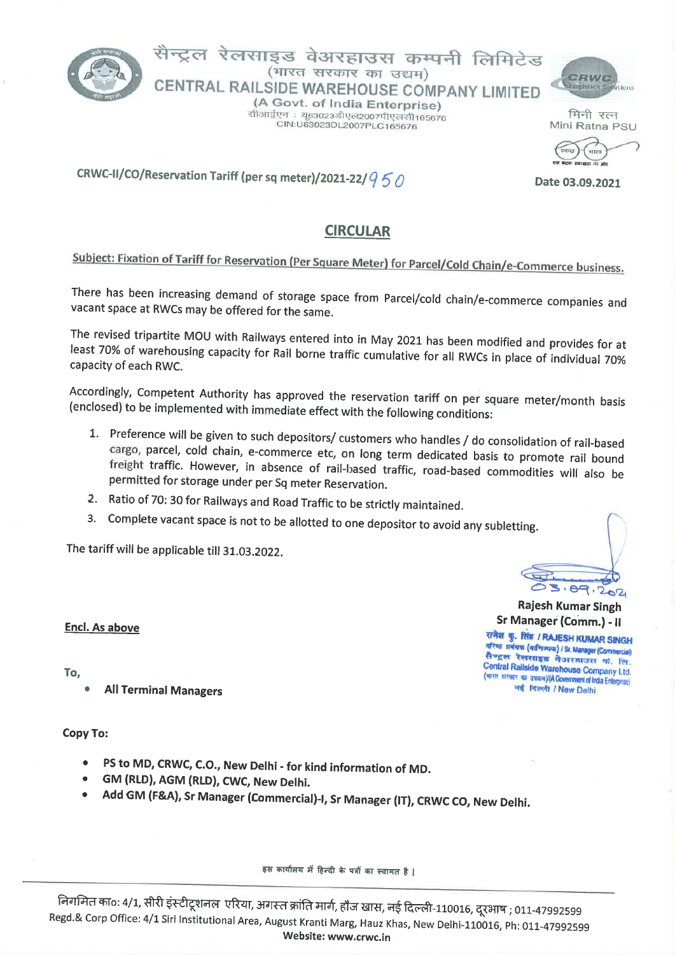

## सैन्टल रेलसाइड वेअरहाउस कम्पनी लिमिटेड (भारत सरकार का उद्यम) CENTRAL RAILSIDE WAREHOUSE COMPANY LIMITED

(A Govt. of India Enterprise) सोआईएन : यु63023डीएल2007पीएलसी165676 CIN:U63023DL2007PLC165676



मिनी रत्न Mini Ratna PSU

an a

Date 03.09,2021

CRWC-II/CO/Reservation Tariff (per sq meter)/2021-22/ $950$ 

## **CIRCULAR**

# Subject: Fixation of Tariff for Reservation (Per Square Meter) for Parcel/Cold Chain/e-Commerce business.

There has been increasing demand of storage space from Parcel/cold chain/e-commerce companies and vacant space at RWCs may be offered for the same.

The revised tripartite MOU with Railways entered into in May 2021 has been modified and provides for at least 70% of warehousing capacity for Rail borne traffic cumulative for all RWCs in place of individual 70% capacity of each RWC.

Accordingly, Competent Authority has approved the reservation tariff on per square meter/month basis (enclosed) to be implemented with immediate effect with the following conditions:

- 1. Preference will be given to such depositors/ customers who handles / do consolidation of rail-based cargo, parcel, cold chain, e-commerce etc, on long term dedicated basis to promote rail bound freight traffic. However, in absence of rail-based traffic, road-based commodities will also be permitted for storage under per Sq meter Reservation.
- 2. Ratio of 70: 30 for Railways and Road Traffic to be strictly maintained.
- 3. Complete vacant space is not to be allotted to one depositor to avoid any subletting.

The tariff will be applicable till 31.03.2022.

#### **Encl. As above**

To.

**All Terminal Managers** 

#### Copy To:

- PS to MD, CRWC, C.O., New Delhi for kind information of MD.
- GM (RLD), AGM (RLD), CWC, New Delhi.
- Add GM (F&A), Sr Manager (Commercial)-I, Sr Manager (IT), CRWC CO, New Delhi.

इस कार्यालय में हिन्दी के पत्रों का स्वागत है |

निगमित का०: 4/1, सीरी इंस्टीटूशनल एरिया, अगस्त क्रांति मार्ग, हौज खास, नई दिल्ली-110016, दूरभाष ; 011-47992599 Regd.& Corp Office: 4/1 Siri Institutional Area, August Kranti Marg, Hauz Khas, New Delhi-110016, Ph: 011-47992599 Website: www.crwc.in

 $5.89.202$ 

**Rajesh Kumar Singh** Sr Manager (Comm.) - II राजेश कु. सिंह / RAJESH KUMAR SINGH

र्वारेष्ठ प्रबंधक (वाणिज्यका) / Sr. Manager (Commercial) सैण्ट्रल रेलसाइड वेअर<mark>का</mark>उस कं. लि. Central Railside Warehouse Company Ltd. (भारत सरखर का उपबन)/(A Government of India Enterprise) नई विल्ली / New Delhi